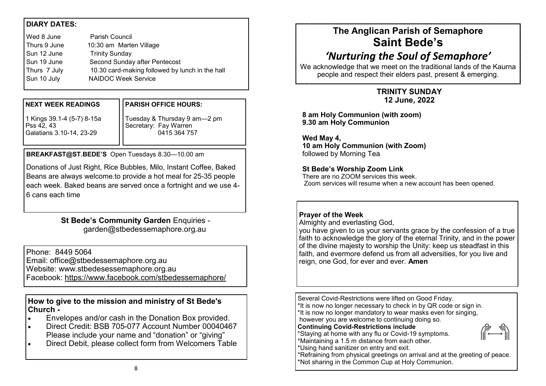# **DIARY DATES:**

| Wed 8 June   | <b>Parish Council</b>                           |
|--------------|-------------------------------------------------|
| Thurs 9 June | 10:30 am Marten Village                         |
| Sun 12 June  | <b>Trinity Sunday</b>                           |
| Sun 19 June  | Second Sunday after Pentecost                   |
| Thurs 7 July | 10.30 card-making followed by lunch in the hall |
| Sun 10 July  | <b>NAIDOC Week Service</b>                      |
|              |                                                 |

#### **NEXT WEEK READINGS**

### **PARISH OFFICE HOURS:**

1 Kings 39.1-4 (5-7) 8-15a Pss 42, 43 Galatians 3.10-14, 23-29

Tuesday & Thursday 9 am—2 pm Secretary: Fay Warren 0415 364 757

**BREAKFAST@ST.BEDE'S** Open Tuesdays 8.30—10.00 am

Donations of Just Right, Rice Bubbles, Milo, Instant Coffee, Baked Beans are always welcome.to provide a hot meal for 25-35 people each week. Baked beans are served once a fortnight and we use 4-6 cans each time

## **St Bede's Community Garden** Enquiries garden@stbedessemaphore.org.au

Phone: 8449 5064 Email: office@stbedessemaphore.org.au Website: www.stbedesessemaphore.org.au Facebook: <https://www.facebook.com/stbedessemaphore/>

**How to give to the mission and ministry of St Bede's Church -**

- Envelopes and/or cash in the Donation Box provided.
- Direct Credit: BSB 705-077 Account Number 00040467 Please include your name and "donation" or "giving"
- Direct Debit, please collect form from Welcomers Table

# **The Anglican Parish of Semaphore Saint Bede's**

# *'Nurturing the Soul of Semaphore'*

We acknowledge that we meet on the traditional lands of the Kaurna people and respect their elders past, present & emerging.

# **TRINITY SUNDAY 12 June, 2022**

**8 am Holy Communion (with zoom) 9.30 am Holy Communion** 

**Wed May 4, 10 am Holy Communion (with Zoom)**  followed by Morning Tea

## **St Bede's Worship Zoom Link**

There are no ZOOM services this week. Zoom services will resume when a new account has been opened.

# **Prayer of the Week**

Almighty and everlasting God,

you have given to us your servants grace by the confession of a true faith to acknowledge the glory of the eternal Trinity, and in the power of the divine majesty to worship the Unity: keep us steadfast in this faith, and evermore defend us from all adversities, for you live and reign, one God, for ever and ever. **Amen**

Several Covid-Restrictions were lifted on Good Friday. \*It is now no longer necessary to check in by QR code or sign in. \*It is now no longer mandatory to wear masks even for singing, however you are welcome to continuing doing so. **Continuing Covid-Restrictions include** \*Staying at home with any flu or Covid-19 symptoms. \*Maintaining a 1.5 m distance from each other. \*Using hand sanitizer on entry and exit. \*Refraining from physical greetings on arrival and at the greeting of peace.

\*Not sharing in the Common Cup at Holy Communion.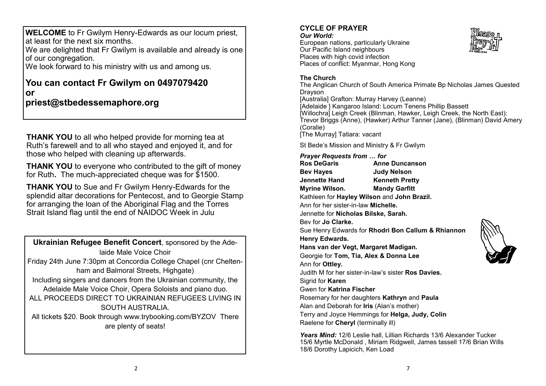**WELCOME** to Fr Gwilym Henry-Edwards as our locum priest, at least for the next six months.

We are delighted that Fr Gwilym is available and already is one of our congregation.

We look forward to his ministry with us and among us.

# **You can contact Fr Gwilym on 0497079420 or priest@stbedessemaphore.org**

**THANK YOU** to all who helped provide for morning tea at Ruth's farewell and to all who stayed and enjoyed it, and for those who helped with cleaning up afterwards.

**THANK YOU** to everyone who contributed to the gift of money for Ruth**.** The much-appreciated cheque was for \$1500.

**THANK YOU** to Sue and Fr Gwilym Henry-Edwards for the splendid altar decorations for Pentecost, and to Georgie Stamp for arranging the loan of the Aboriginal Flag and the Torres Strait Island flag until the end of NAIDOC Week in Julu

**Ukrainian Refugee Benefit Concert**, sponsored by the Adelaide Male Voice Choir Friday 24th June 7:30pm at Concordia College Chapel (cnr Cheltenham and Balmoral Streets, Highgate) Including singers and dancers from the Ukrainian community, the Adelaide Male Voice Choir, Opera Soloists and piano duo. ALL PROCEEDS DIRECT TO UKRAINIAN REFUGEES LIVING IN SOUTH AUSTRALIA. All tickets \$20. Book through www.trybooking.com/BYZOV There are plenty of seats!

# **CYCLE OF PRAYER**

#### *Our World:*

European nations, particularly Ukraine Our Pacific Island neighbours Places with high covid infection Places of conflict: Myanmar, Hong Kong



#### **The Church**

The Anglican Church of South America Primate Bp Nicholas James Quested Drayson [Australia] Grafton: Murray Harvey (Leanne) [Adelaide ] Kangaroo Island: Locum Tenens Phillip Bassett [Willochra] Leigh Creek (Blinman, Hawker, Leigh Creek, the North East): Trevor Briggs (Anne), (Hawker) Arthur Tanner (Jane), (Blinman) David Amery (Coralie) [The Murray] Tatiara: vacant

St Bede's Mission and Ministry & Fr Gwilym

#### *Prayer Requests from … for*

| <b>Ros DeGaris</b>                          | <b>Anne Duncanson</b>                       |  |
|---------------------------------------------|---------------------------------------------|--|
| <b>Bev Hayes</b>                            | <b>Judy Nelson</b>                          |  |
| <b>Jennette Hand</b>                        | <b>Kenneth Pretty</b>                       |  |
| Myrine Wilson.                              | <b>Mandy Garfitt</b>                        |  |
|                                             | Kathleen for Hayley Wilson and John Brazil. |  |
| Ann for her sister-in-law <b>Michelle</b> . |                                             |  |

Jennette for **Nicholas Bilske, Sarah.**

Bev for **Jo Clarke.**

Sue Henry Edwards for **Rhodri Bon Callum & Rhiannon Henry Edwards. Hans van der Vegt, Margaret Madigan.**

Georgie for **Tom, Tia, Alex & Donna Lee**

Ann for **Ottley.** 

Judith M for her sister-in-law's sister **Ros Davies.**

Sigrid for **Karen** 

Gwen for **Katrina Fischer**

Rosemary for her daughters **Kathryn** and **Paula**

Alan and Deborah for **Iris** (Alan's mother)

Terry and Joyce Hemmings for **Helga, Judy, Colin** Raelene for **Cheryl** (terminally ill)

*Years Mind:* 12/6 Leslie hall, Lillian Richards 13/6 Alexander Tucker 15/6 Myrtle McDonald , Miriam Ridgwell, James tassell 17/6 Brian Wills 18/6 Dorothy Lapicich, Ken Load

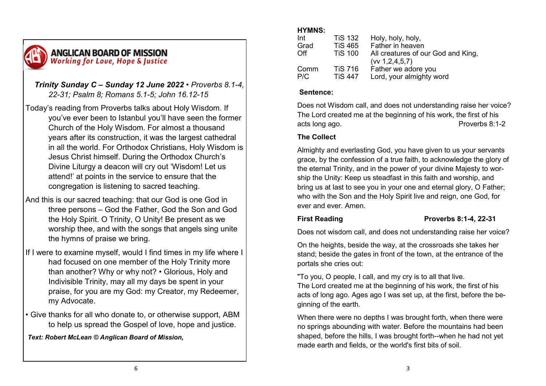

# *Trinity Sunday C – Sunday 12 June 2022 • Proverbs 8.1-4, 22-31; Psalm 8; Romans 5.1-5; John 16.12-15*

Today's reading from Proverbs talks about Holy Wisdom. If you've ever been to Istanbul you'll have seen the former Church of the Holy Wisdom. For almost a thousand years after its construction, it was the largest cathedral in all the world. For Orthodox Christians, Holy Wisdom is Jesus Christ himself. During the Orthodox Church's Divine Liturgy a deacon will cry out 'Wisdom! Let us attend!' at points in the service to ensure that the congregation is listening to sacred teaching.

- And this is our sacred teaching: that our God is one God in three persons – God the Father, God the Son and God the Holy Spirit. O Trinity, O Unity! Be present as we worship thee, and with the songs that angels sing unite the hymns of praise we bring.
- If I were to examine myself, would I find times in my life where I had focused on one member of the Holy Trinity more than another? Why or why not? • Glorious, Holy and Indivisible Trinity, may all my days be spent in your praise, for you are my God: my Creator, my Redeemer, my Advocate.
- Give thanks for all who donate to, or otherwise support, ABM to help us spread the Gospel of love, hope and justice.

*Text: Robert McLean © Anglican Board of Mission,* 

# **HYMNS:**

| Int           | <b>TiS 132</b>                   | Holy, holy, holy,                                        |
|---------------|----------------------------------|----------------------------------------------------------|
| Grad          | <b>TiS 465</b>                   | Father in heaven                                         |
| $\bigcirc$ ff | <b>TiS 100</b>                   | All creatures of our God and King,<br>(vv 1, 2, 4, 5, 7) |
| Comm<br>P/C   | <b>TiS 716</b><br><b>TiS 447</b> | Father we adore you<br>Lord, your almighty word          |

# **Sentence:**

Does not Wisdom call, and does not understanding raise her voice? The Lord created me at the beginning of his work, the first of his acts long ago. The contract of the Proverbs 8:1-2

# **The Collect**

Almighty and everlasting God, you have given to us your servants grace, by the confession of a true faith, to acknowledge the glory of the eternal Trinity, and in the power of your divine Majesty to worship the Unity: Keep us steadfast in this faith and worship, and bring us at last to see you in your one and eternal glory, O Father; who with the Son and the Holy Spirit live and reign, one God, for ever and ever. Amen.

# **First Reading Proverbs 8:1-4, 22-31**

Does not wisdom call, and does not understanding raise her voice?

On the heights, beside the way, at the crossroads she takes her stand; beside the gates in front of the town, at the entrance of the portals she cries out:

"To you, O people, I call, and my cry is to all that live. The Lord created me at the beginning of his work, the first of his acts of long ago. Ages ago I was set up, at the first, before the beginning of the earth.

When there were no depths I was brought forth, when there were no springs abounding with water. Before the mountains had been shaped, before the hills, I was brought forth--when he had not yet made earth and fields, or the world's first bits of soil.